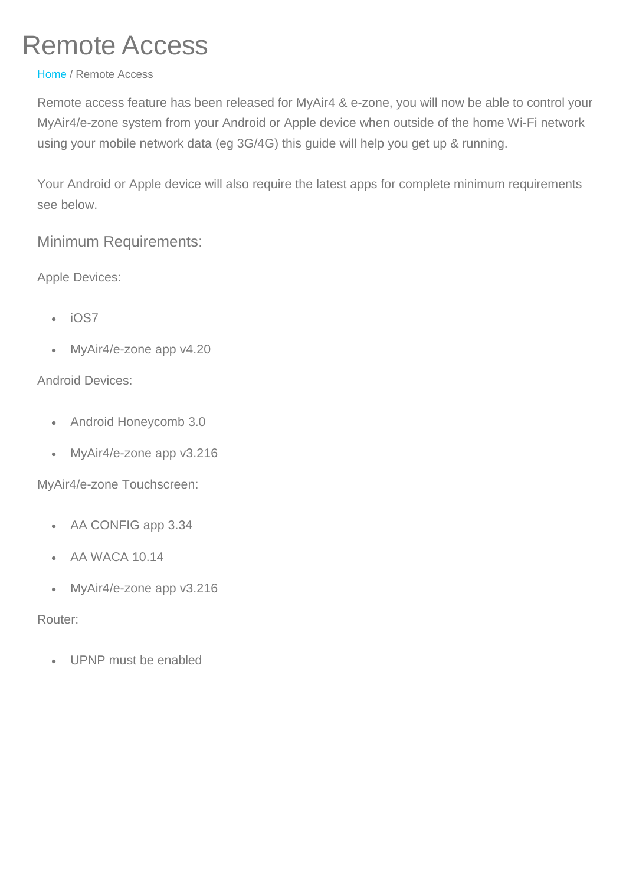# Remote Access

#### [Home](http://www.advantageair.com.au/) / Remote Access

Remote access feature has been released for MyAir4 & e-zone, you will now be able to control your MyAir4/e-zone system from your Android or Apple device when outside of the home Wi-Fi network using your mobile network data (eg 3G/4G) this guide will help you get up & running.

Your Android or Apple device will also require the latest apps for complete minimum requirements see below.

### Minimum Requirements:

Apple Devices:

- iOS7
- MyAir4/e-zone app v4.20

#### Android Devices:

- Android Honeycomb 3.0
- MyAir4/e-zone app v3.216

MyAir4/e-zone Touchscreen:

- AA CONFIG app 3.34
- AA WACA 10.14
- MyAir4/e-zone app v3.216

Router:

• UPNP must be enabled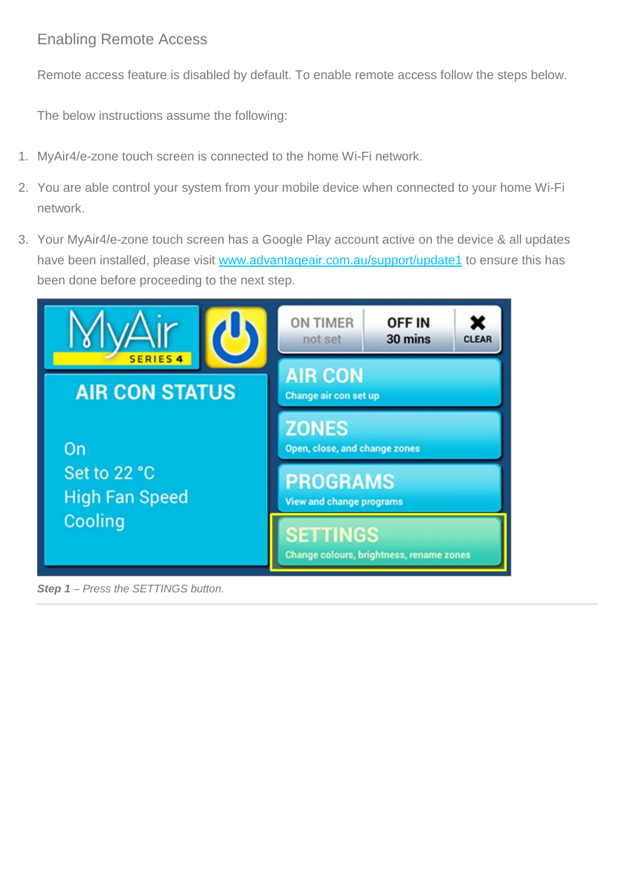#### Enabling Remote Access

Remote access feature is disabled by default. To enable remote access follow the steps below.

The below instructions assume the following:

- 1. MyAir4/e-zone touch screen is connected to the home Wi-Fi network.
- 2. You are able control your system from your mobile device when connected to your home Wi-Fi network.
- 3. Your MyAir4/e-zone touch screen has a Google Play account active on the device & all updates have been installed, please visit [www.advantageair.com.au/support/update1](http://www.advantageair.com.au/support/update1/) to ensure this has been done before proceeding to the next step.



*Step 1 – Press the SETTINGS button.*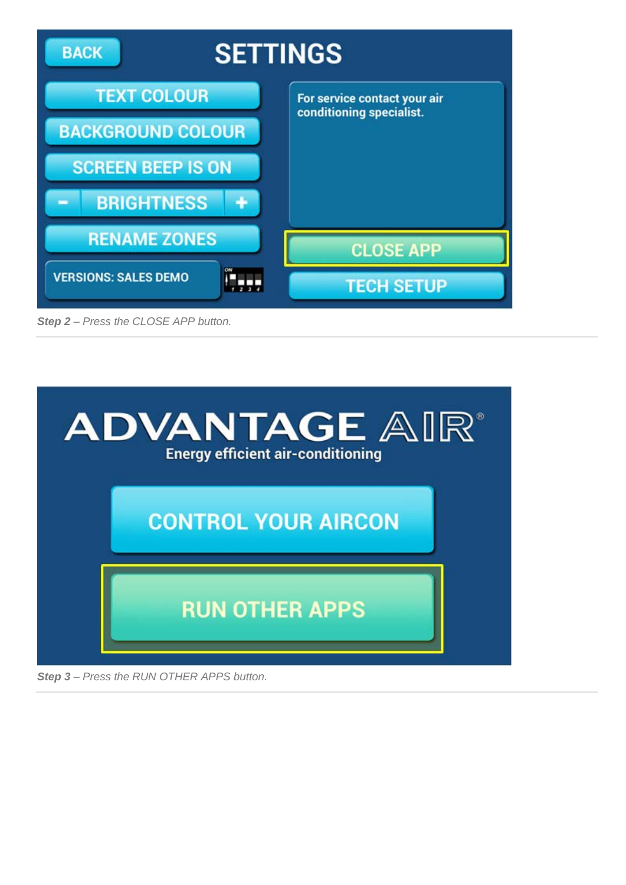

*Step 2 – Press the CLOSE APP button.*



*Step 3 – Press the RUN OTHER APPS button.*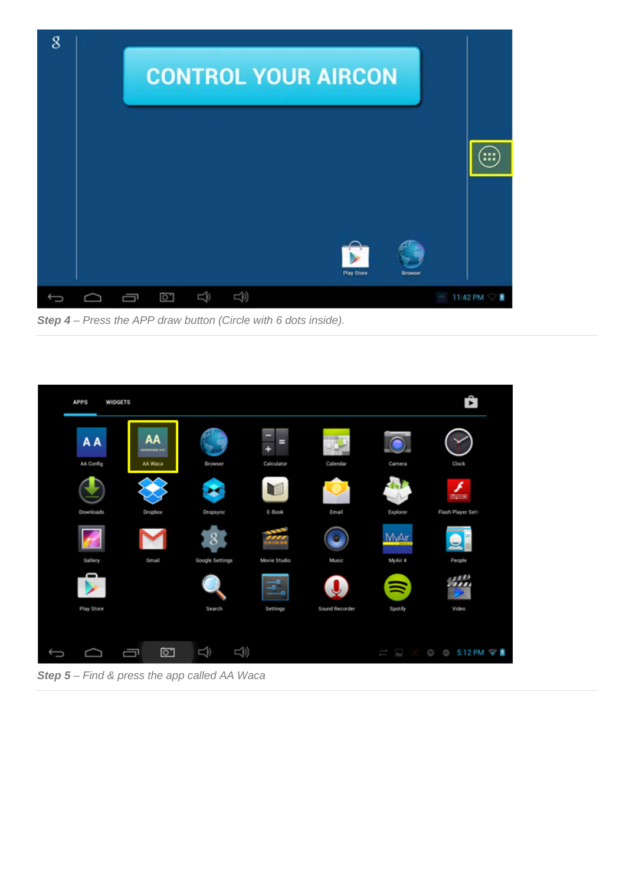

*Step 4 – Press the APP draw button (Circle with 6 dots inside).*



*Step 5 – Find & press the app called AA Waca*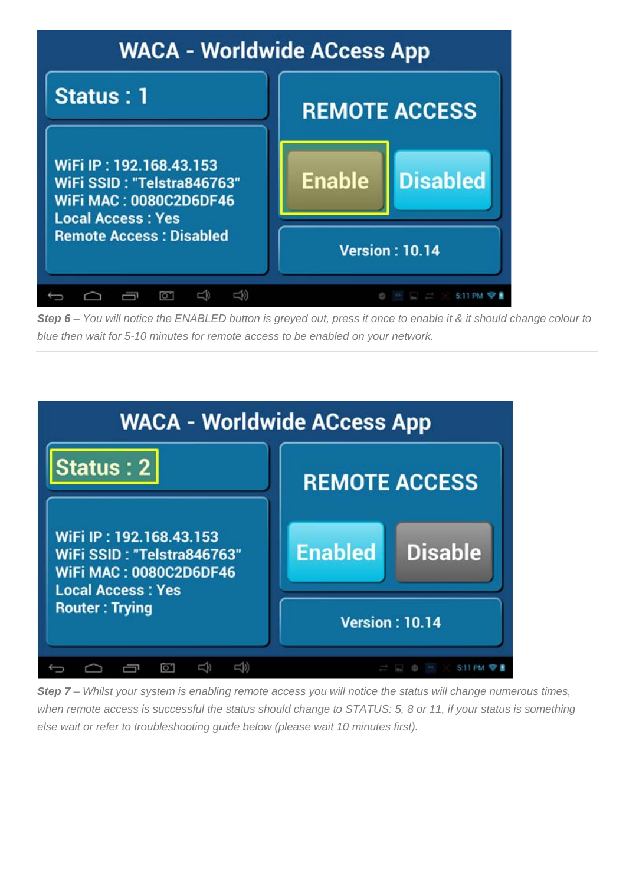

*Step 6 – You will notice the ENABLED button is greyed out, press it once to enable it & it should change colour to blue then wait for 5-10 minutes for remote access to be enabled on your network.*



*Step 7 – Whilst your system is enabling remote access you will notice the status will change numerous times, when remote access is successful the status should change to STATUS: 5, 8 or 11, if your status is something else wait or refer to troubleshooting guide below (please wait 10 minutes first).*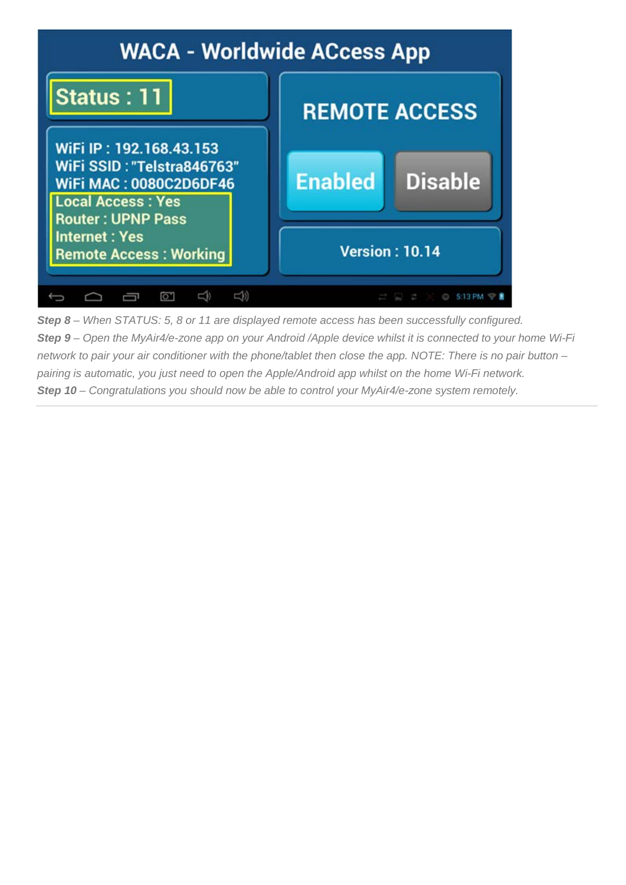

*Step 8 – When STATUS: 5, 8 or 11 are displayed remote access has been successfully configured. Step 9 – Open the MyAir4/e-zone app on your Android /Apple device whilst it is connected to your home Wi-Fi network to pair your air conditioner with the phone/tablet then close the app. NOTE: There is no pair button – pairing is automatic, you just need to open the Apple/Android app whilst on the home Wi-Fi network. Step 10 – Congratulations you should now be able to control your MyAir4/e-zone system remotely.*